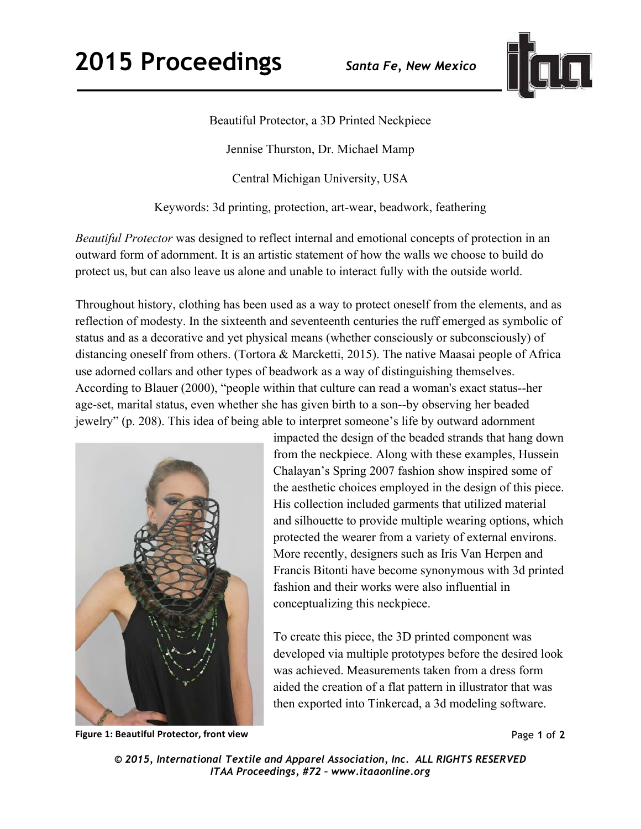

## Beautiful Protector, a 3D Printed Neckpiece

Jennise Thurston, Dr. Michael Mamp

Central Michigan University, USA

Keywords: 3d printing, protection, art-wear, beadwork, feathering

*Beautiful Protector* was designed to reflect internal and emotional concepts of protection in an outward form of adornment. It is an artistic statement of how the walls we choose to build do protect us, but can also leave us alone and unable to interact fully with the outside world.

Throughout history, clothing has been used as a way to protect oneself from the elements, and as reflection of modesty. In the sixteenth and seventeenth centuries the ruff emerged as symbolic of status and as a decorative and yet physical means (whether consciously or subconsciously) of distancing oneself from others. (Tortora & Marcketti, 2015). The native Maasai people of Africa use adorned collars and other types of beadwork as a way of distinguishing themselves. According to Blauer (2000), "people within that culture can read a woman's exact status--her age-set, marital status, even whether she has given birth to a son--by observing her beaded jewelry" (p. 208). This idea of being able to interpret someone's life by outward adornment



**Figure 1: Beautiful Protector, front view** 

impacted the design of the beaded strands that hang down from the neckpiece. Along with these examples, Hussein Chalayan's Spring 2007 fashion show inspired some of the aesthetic choices employed in the design of this piece. His collection included garments that utilized material and silhouette to provide multiple wearing options, which protected the wearer from a variety of external environs. More recently, designers such as Iris Van Herpen and Francis Bitonti have become synonymous with 3d printed fashion and their works were also influential in conceptualizing this neckpiece.

To create this piece, the 3D printed component was developed via multiple prototypes before the desired look was achieved. Measurements taken from a dress form aided the creation of a flat pattern in illustrator that was then exported into Tinkercad, a 3d modeling software.

Page **1** of **2** 

*© 2015, International Textile and Apparel Association, Inc. ALL RIGHTS RESERVED ITAA Proceedings, #72 – www.itaaonline.org*